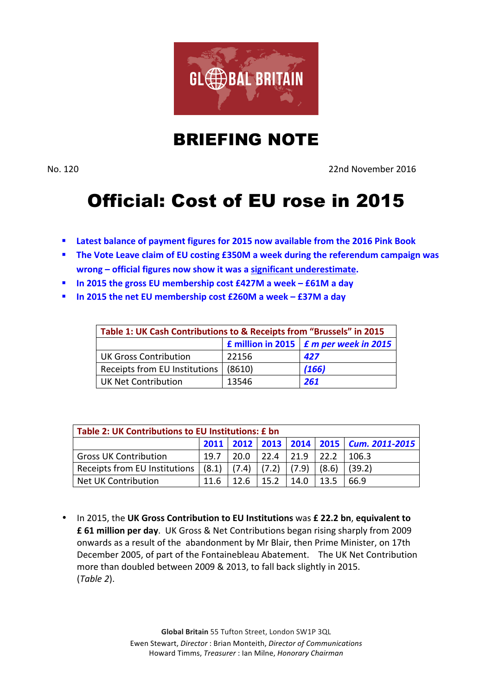

## BRIEFING NOTE

No. 120 22nd November 2016

## Official: Cost of EU rose in 2015

- **EXECTE Latest balance of payment figures for 2015 now available from the 2016 Pink Book**
- **EXECTE:** The Vote Leave claim of EU costing £350M a week during the referendum campaign was **wrong** – official figures now show it was a significant underestimate.
- $\blacksquare$  In 2015 the gross EU membership cost £427M a week £61M a day
- **In 2015 the net EU membership cost £260M a week £37M a day**

| Table 1: UK Cash Contributions to & Receipts from "Brussels" in 2015 |        |       |  |  |  |
|----------------------------------------------------------------------|--------|-------|--|--|--|
| <b>E</b> million in 2015 $\mathbf{F}$ m per week in 2015             |        |       |  |  |  |
| <b>UK Gross Contribution</b>                                         | 22156  | 427   |  |  |  |
| Receipts from EU Institutions                                        | (8610) | (166) |  |  |  |
| <b>UK Net Contribution</b>                                           | 13546  | 261   |  |  |  |

| Table 2: UK Contributions to EU Institutions: £ bn            |      |        |             |       |       |                                         |
|---------------------------------------------------------------|------|--------|-------------|-------|-------|-----------------------------------------|
|                                                               |      |        |             |       |       | 2011 2012 2013 2014 2015 Cum. 2011-2015 |
| <b>Gross UK Contribution</b>                                  | 19.7 |        | $20.0$ 22.4 | 121.9 | 122.2 | 106.3                                   |
| Receipts from EU Institutions $(8.1)$ $(7.4)$ $(7.2)$ $(7.9)$ |      |        |             |       | (8.6) | (39.2)                                  |
| Net UK Contribution                                           | 11.6 | 12 $6$ | 15.2        | 14.0  | 13.5  | 66.9                                    |

• In 2015, the UK Gross Contribution to EU Institutions was £ 22.2 bn, equivalent to **£ 61 million per day.** UK Gross & Net Contributions began rising sharply from 2009 onwards as a result of the abandonment by Mr Blair, then Prime Minister, on 17th December 2005, of part of the Fontainebleau Abatement. The UK Net Contribution more than doubled between 2009 & 2013, to fall back slightly in 2015. (*Table 2*).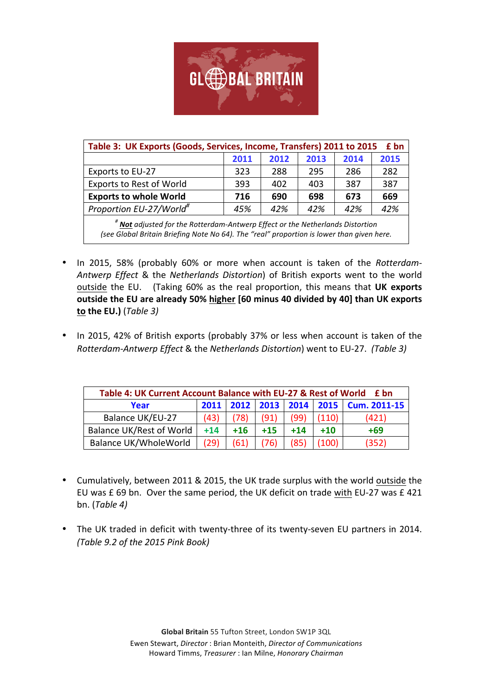

| Table 3: UK Exports (Goods, Services, Income, Transfers) 2011 to 2015<br>£ bn            |      |      |      |      |      |
|------------------------------------------------------------------------------------------|------|------|------|------|------|
|                                                                                          | 2011 | 2012 | 2013 | 2014 | 2015 |
| Exports to EU-27                                                                         | 323  | 288  | 295  | 286  | 282  |
| <b>Exports to Rest of World</b>                                                          | 393  | 402  | 403  | 387  | 387  |
| <b>Exports to whole World</b>                                                            | 716  | 690  | 698  | 673  | 669  |
| Proportion EU-27/World <sup>#</sup>                                                      | 45%  | 42%  | 42%  | 42%  | 42%  |
| <sup>#</sup> Not adjusted for the Rotterdam-Antwerp Effect or the Netherlands Distortion |      |      |      |      |      |

*(see Global Britain Briefing Note No 64). The "real" proportion is lower than given here.* 

- In 2015, 58% (probably 60% or more when account is taken of the *Rotterdam*-*Antwerp Effect* & the *Netherlands Distortion*) of British exports went to the world outside the EU. (Taking 60% as the real proportion, this means that UK exports outside the EU are already 50% higher [60 minus 40 divided by 40] than UK exports **to the EU.**) (*Table 3*)
- In 2015, 42% of British exports (probably 37% or less when account is taken of the *Rotterdam-Antwerp Effect* & the *Netherlands Distortion*) went to EU-27. (Table 3)

| Table 4: UK Current Account Balance with EU-27 & Rest of World<br>- £ bn |       |       |       |       |       |                                  |
|--------------------------------------------------------------------------|-------|-------|-------|-------|-------|----------------------------------|
| Year                                                                     | 2011  |       |       |       |       | 2012 2013 2014 2015 Cum. 2011-15 |
| Balance UK/EU-27                                                         | (43)  | (78)  | (91)  | (99)  | (110) | (421)                            |
| Balance UK/Rest of World                                                 | $+14$ | $+16$ | $+15$ | $+14$ | $+10$ | $+69$                            |
| Balance UK/WholeWorld                                                    | (29)  | (61)  | (76)  | (85)  | (100) | (352)                            |

- Cumulatively, between 2011 & 2015, the UK trade surplus with the world outside the EU was £ 69 bn. Over the same period, the UK deficit on trade with EU-27 was £ 421  $bn.$  (Table 4)
- The UK traded in deficit with twenty-three of its twenty-seven EU partners in 2014. *(Table 9.2 of the 2015 Pink Book)*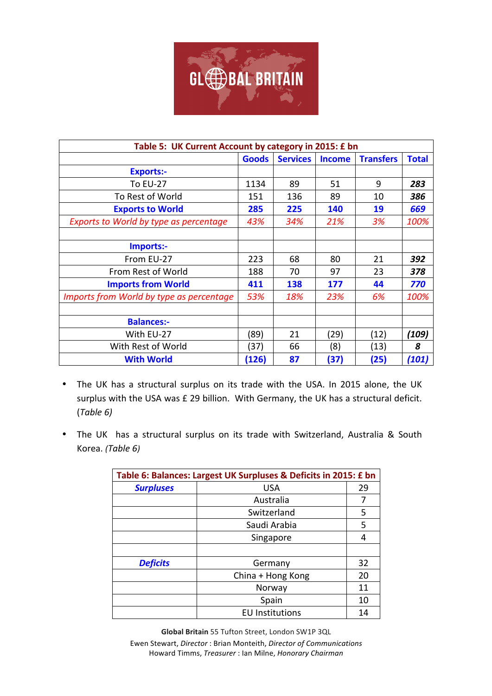

| Table 5: UK Current Account by category in 2015: £ bn |              |                 |               |                  |              |
|-------------------------------------------------------|--------------|-----------------|---------------|------------------|--------------|
|                                                       | <b>Goods</b> | <b>Services</b> | <b>Income</b> | <b>Transfers</b> | <b>Total</b> |
| <b>Exports:-</b>                                      |              |                 |               |                  |              |
| <b>To EU-27</b>                                       | 1134         | 89              | 51            | 9                | 283          |
| To Rest of World                                      | 151          | 136             | 89            | 10               | 386          |
| <b>Exports to World</b>                               | 285          | 225             | 140           | 19               | 669          |
| Exports to World by type as percentage                | 43%          | 34%             | 21%           | 3%               | 100%         |
|                                                       |              |                 |               |                  |              |
| Imports:-                                             |              |                 |               |                  |              |
| From EU-27                                            | 223          | 68              | 80            | 21               | 392          |
| From Rest of World                                    | 188          | 70              | 97            | 23               | 378          |
| <b>Imports from World</b>                             | 411          | 138             | 177           | 44               | 770          |
| Imports from World by type as percentage              | 53%          | 18%             | 23%           | 6%               | 100%         |
|                                                       |              |                 |               |                  |              |
| <b>Balances:-</b>                                     |              |                 |               |                  |              |
| With EU-27                                            | (89)         | 21              | (29)          | (12)             | (109)        |
| With Rest of World                                    | (37)         | 66              | (8)           | (13)             | 8            |
| <b>With World</b>                                     | (126)        | 87              | (37)          | (25)             | (101)        |

- The UK has a structural surplus on its trade with the USA. In 2015 alone, the UK surplus with the USA was £ 29 billion. With Germany, the UK has a structural deficit. (*Table 6)*
- The UK has a structural surplus on its trade with Switzerland, Australia & South Korea. *(Table 6)*

| Table 6: Balances: Largest UK Surpluses & Deficits in 2015: £ bn |                        |    |  |  |  |
|------------------------------------------------------------------|------------------------|----|--|--|--|
| <b>Surpluses</b>                                                 | <b>USA</b>             | 29 |  |  |  |
|                                                                  | Australia              | 7  |  |  |  |
|                                                                  | Switzerland            | 5  |  |  |  |
|                                                                  | Saudi Arabia           | 5  |  |  |  |
|                                                                  | Singapore              | 4  |  |  |  |
|                                                                  |                        |    |  |  |  |
| <b>Deficits</b>                                                  | Germany                | 32 |  |  |  |
|                                                                  | China + Hong Kong      | 20 |  |  |  |
|                                                                  | Norway                 | 11 |  |  |  |
|                                                                  | Spain                  | 10 |  |  |  |
|                                                                  | <b>EU Institutions</b> | 14 |  |  |  |

**Global Britain** 55 Tufton Street, London SW1P 3QL Ewen Stewart, *Director* : Brian Monteith, *Director of Communications* Howard Timms, *Treasurer* : Ian Milne, *Honorary Chairman*